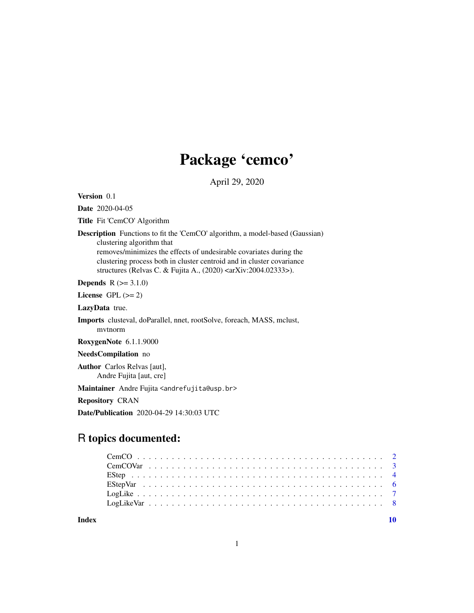# Package 'cemco'

April 29, 2020

Version 0.1

Date 2020-04-05

Title Fit 'CemCO' Algorithm

Description Functions to fit the 'CemCO' algorithm, a model-based (Gaussian) clustering algorithm that removes/minimizes the effects of undesirable covariates during the

clustering process both in cluster centroid and in cluster covariance structures (Relvas C. & Fujita A., (2020) <arXiv:2004.02333>).

**Depends**  $R (= 3.1.0)$ 

License GPL  $(>= 2)$ 

LazyData true.

Imports clusteval, doParallel, nnet, rootSolve, foreach, MASS, mclust, mvtnorm

RoxygenNote 6.1.1.9000

NeedsCompilation no

Author Carlos Relvas [aut], Andre Fujita [aut, cre]

Maintainer Andre Fujita <andrefujita@usp.br>

Repository CRAN

Date/Publication 2020-04-29 14:30:03 UTC

# R topics documented:

 $\blacksquare$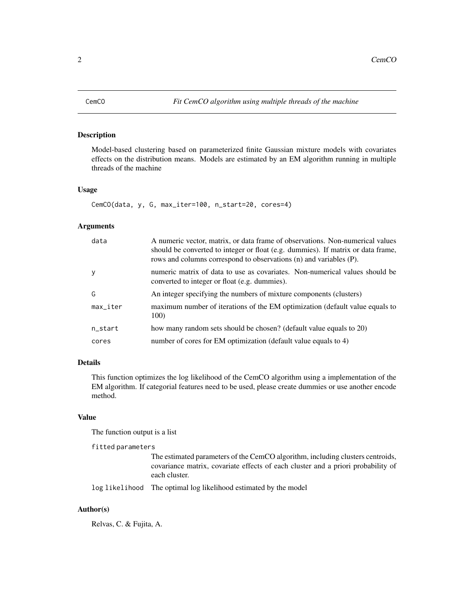<span id="page-1-0"></span>

#### Description

Model-based clustering based on parameterized finite Gaussian mixture models with covariates effects on the distribution means. Models are estimated by an EM algorithm running in multiple threads of the machine

#### Usage

CemCO(data, y, G, max\_iter=100, n\_start=20, cores=4)

# Arguments

| data                      | A numeric vector, matrix, or data frame of observations. Non-numerical values<br>should be converted to integer or float (e.g. dummies). If matrix or data frame,<br>rows and columns correspond to observations (n) and variables (P). |
|---------------------------|-----------------------------------------------------------------------------------------------------------------------------------------------------------------------------------------------------------------------------------------|
| <b>y</b>                  | numeric matrix of data to use as covariates. Non-numerical values should be<br>converted to integer or float (e.g. dummies).                                                                                                            |
| G                         | An integer specifying the numbers of mixture components (clusters)                                                                                                                                                                      |
| $max$ <sub>-</sub> $iter$ | maximum number of iterations of the EM optimization (default value equals to<br>100)                                                                                                                                                    |
| n_start                   | how many random sets should be chosen? (default value equals to 20)                                                                                                                                                                     |
| cores                     | number of cores for EM optimization (default value equals to 4)                                                                                                                                                                         |

# Details

This function optimizes the log likelihood of the CemCO algorithm using a implementation of the EM algorithm. If categorial features need to be used, please create dummies or use another encode method.

#### Value

The function output is a list

```
fitted parameters
```
The estimated parameters of the CemCO algorithm, including clusters centroids, covariance matrix, covariate effects of each cluster and a priori probability of each cluster.

log likelihood The optimal log likelihood estimated by the model

# Author(s)

Relvas, C. & Fujita, A.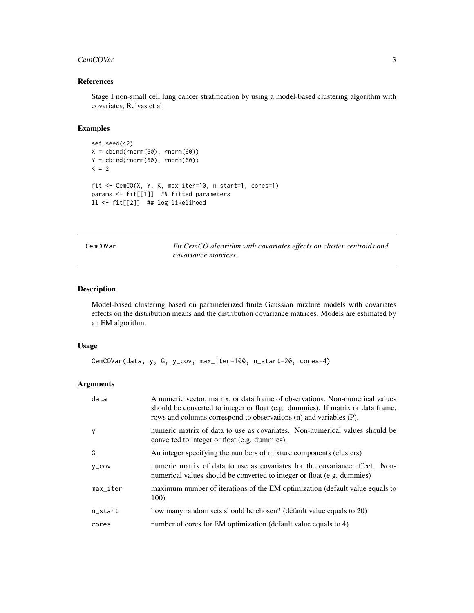#### <span id="page-2-0"></span>CemCOVar 3

### References

Stage I non-small cell lung cancer stratification by using a model-based clustering algorithm with covariates, Relvas et al.

#### Examples

```
set.seed(42)
X = \text{cbind}(rnorm(60), rnorm(60))Y = \text{cbind}(rnorm(60), rnorm(60))K = 2fit <- CemCO(X, Y, K, max_iter=10, n_start=1, cores=1)
params <- fit[[1]] ## fitted parameters
ll <- fit[[2]] ## log likelihood
```
CemCOVar *Fit CemCO algorithm with covariates effects on cluster centroids and covariance matrices.*

# Description

Model-based clustering based on parameterized finite Gaussian mixture models with covariates effects on the distribution means and the distribution covariance matrices. Models are estimated by an EM algorithm.

# Usage

```
CemCOVar(data, y, G, y_cov, max_iter=100, n_start=20, cores=4)
```
# Arguments

| data                      | A numeric vector, matrix, or data frame of observations. Non-numerical values<br>should be converted to integer or float (e.g. dummies). If matrix or data frame,<br>rows and columns correspond to observations (n) and variables (P). |
|---------------------------|-----------------------------------------------------------------------------------------------------------------------------------------------------------------------------------------------------------------------------------------|
| y                         | numeric matrix of data to use as covariates. Non-numerical values should be<br>converted to integer or float (e.g. dummies).                                                                                                            |
| G                         | An integer specifying the numbers of mixture components (clusters)                                                                                                                                                                      |
| V_COV                     | numeric matrix of data to use as covariates for the covariance effect. Non-<br>numerical values should be converted to integer or float (e.g. dummies)                                                                                  |
| $max$ <sub>-</sub> $iter$ | maximum number of iterations of the EM optimization (default value equals to<br>100 <sup>o</sup>                                                                                                                                        |
| n_start                   | how many random sets should be chosen? (default value equals to 20)                                                                                                                                                                     |
| cores                     | number of cores for EM optimization (default value equals to 4)                                                                                                                                                                         |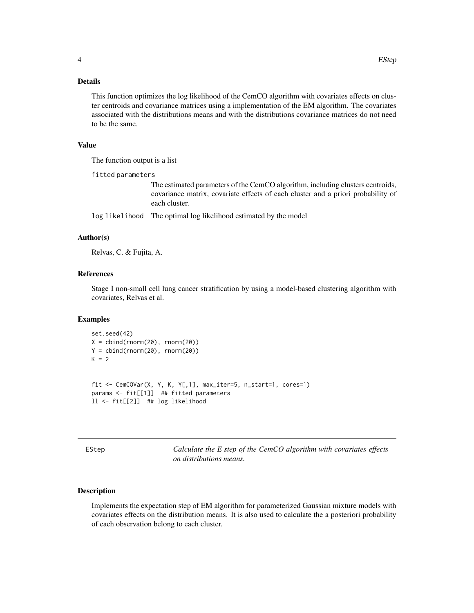### <span id="page-3-0"></span>Details

This function optimizes the log likelihood of the CemCO algorithm with covariates effects on cluster centroids and covariance matrices using a implementation of the EM algorithm. The covariates associated with the distributions means and with the distributions covariance matrices do not need to be the same.

### Value

The function output is a list

fitted parameters

The estimated parameters of the CemCO algorithm, including clusters centroids, covariance matrix, covariate effects of each cluster and a priori probability of each cluster.

log likelihood The optimal log likelihood estimated by the model

#### Author(s)

Relvas, C. & Fujita, A.

#### References

Stage I non-small cell lung cancer stratification by using a model-based clustering algorithm with covariates, Relvas et al.

#### Examples

```
set.seed(42)
X = \text{cbind}(rnorm(20), rnorm(20))Y = \text{cbind}(rnorm(20), rnorm(20))K = 2fit <- CemCOVar(X, Y, K, Y[,1], max_iter=5, n_start=1, cores=1)
params <- fit[[1]] ## fitted parameters
ll <- fit[[2]] ## log likelihood
```
EStep *Calculate the E step of the CemCO algorithm with covariates effects on distributions means.*

#### Description

Implements the expectation step of EM algorithm for parameterized Gaussian mixture models with covariates effects on the distribution means. It is also used to calculate the a posteriori probability of each observation belong to each cluster.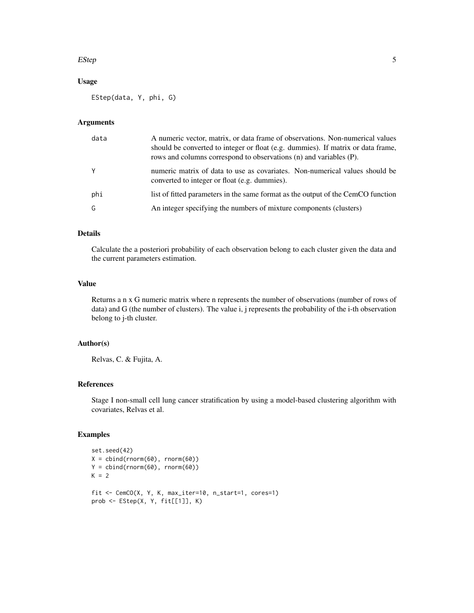#### $EStep$  5

# Usage

EStep(data, Y, phi, G)

#### Arguments

| data | A numeric vector, matrix, or data frame of observations. Non-numerical values<br>should be converted to integer or float (e.g. dummies). If matrix or data frame,<br>rows and columns correspond to observations (n) and variables (P). |
|------|-----------------------------------------------------------------------------------------------------------------------------------------------------------------------------------------------------------------------------------------|
| Y    | numeric matrix of data to use as covariates. Non-numerical values should be<br>converted to integer or float (e.g. dummies).                                                                                                            |
| phi  | list of fitted parameters in the same format as the output of the CemCO function                                                                                                                                                        |
| G    | An integer specifying the numbers of mixture components (clusters)                                                                                                                                                                      |

#### Details

Calculate the a posteriori probability of each observation belong to each cluster given the data and the current parameters estimation.

# Value

Returns a n x G numeric matrix where n represents the number of observations (number of rows of data) and G (the number of clusters). The value i, j represents the probability of the i-th observation belong to j-th cluster.

#### Author(s)

Relvas, C. & Fujita, A.

#### References

Stage I non-small cell lung cancer stratification by using a model-based clustering algorithm with covariates, Relvas et al.

# Examples

```
set.seed(42)
X = \text{cbind}(rnorm(60), rnorm(60))Y = \text{cbind}(rnorm(60), rnorm(60))K = 2fit <- CemCO(X, Y, K, max_iter=10, n_start=1, cores=1)
prob <- EStep(X, Y, fit[[1]], K)
```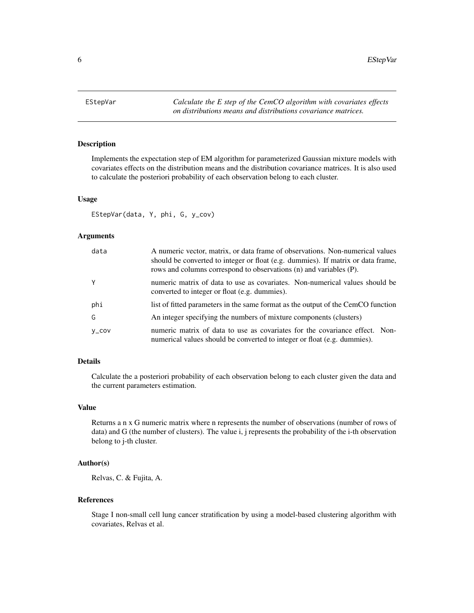<span id="page-5-0"></span>EStepVar *Calculate the E step of the CemCO algorithm with covariates effects on distributions means and distributions covariance matrices.*

#### Description

Implements the expectation step of EM algorithm for parameterized Gaussian mixture models with covariates effects on the distribution means and the distribution covariance matrices. It is also used to calculate the posteriori probability of each observation belong to each cluster.

#### Usage

EStepVar(data, Y, phi, G, y\_cov)

#### Arguments

| data        | A numeric vector, matrix, or data frame of observations. Non-numerical values<br>should be converted to integer or float (e.g. dummies). If matrix or data frame,<br>rows and columns correspond to observations (n) and variables (P). |
|-------------|-----------------------------------------------------------------------------------------------------------------------------------------------------------------------------------------------------------------------------------------|
| Y           | numeric matrix of data to use as covariates. Non-numerical values should be<br>converted to integer or float (e.g. dummies).                                                                                                            |
| phi         | list of fitted parameters in the same format as the output of the CemCO function                                                                                                                                                        |
| G           | An integer specifying the numbers of mixture components (clusters)                                                                                                                                                                      |
| $V_{-}$ COV | numeric matrix of data to use as covariates for the covariance effect. Non-<br>numerical values should be converted to integer or float (e.g. dummies).                                                                                 |

# Details

Calculate the a posteriori probability of each observation belong to each cluster given the data and the current parameters estimation.

#### Value

Returns a n x G numeric matrix where n represents the number of observations (number of rows of data) and G (the number of clusters). The value i, j represents the probability of the i-th observation belong to j-th cluster.

#### Author(s)

Relvas, C. & Fujita, A.

#### References

Stage I non-small cell lung cancer stratification by using a model-based clustering algorithm with covariates, Relvas et al.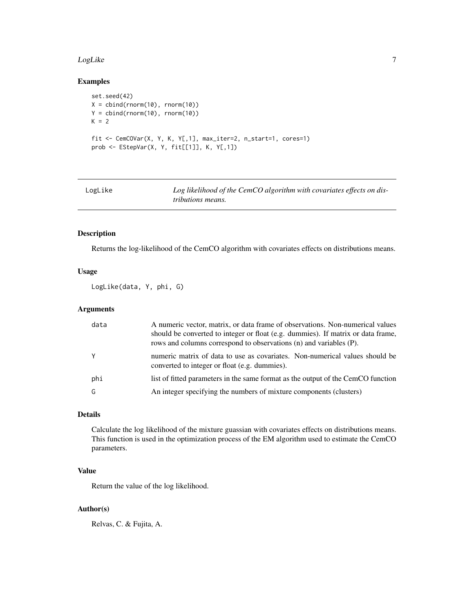#### <span id="page-6-0"></span>LogLike 7

# Examples

```
set.seed(42)
X = \text{cbind}(rnorm(10), rnorm(10))Y = cbind(rnorm(10), rnorm(10))
K = 2fit <- CemCOVar(X, Y, K, Y[,1], max_iter=2, n_start=1, cores=1)
prob <- EStepVar(X, Y, fit[[1]], K, Y[,1])
```

| LogLike | Log likelihood of the CemCO algorithm with covariates effects on dis- |
|---------|-----------------------------------------------------------------------|
|         | <i>tributions means.</i>                                              |

#### Description

Returns the log-likelihood of the CemCO algorithm with covariates effects on distributions means.

#### Usage

LogLike(data, Y, phi, G)

# Arguments

| data         | A numeric vector, matrix, or data frame of observations. Non-numerical values<br>should be converted to integer or float (e.g. dummies). If matrix or data frame,<br>rows and columns correspond to observations (n) and variables (P). |
|--------------|-----------------------------------------------------------------------------------------------------------------------------------------------------------------------------------------------------------------------------------------|
| $\mathsf{Y}$ | numeric matrix of data to use as covariates. Non-numerical values should be<br>converted to integer or float (e.g. dummies).                                                                                                            |
| phi          | list of fitted parameters in the same format as the output of the CemCO function                                                                                                                                                        |
| G            | An integer specifying the numbers of mixture components (clusters)                                                                                                                                                                      |

# Details

Calculate the log likelihood of the mixture guassian with covariates effects on distributions means. This function is used in the optimization process of the EM algorithm used to estimate the CemCO parameters.

# Value

Return the value of the log likelihood.

# Author(s)

Relvas, C. & Fujita, A.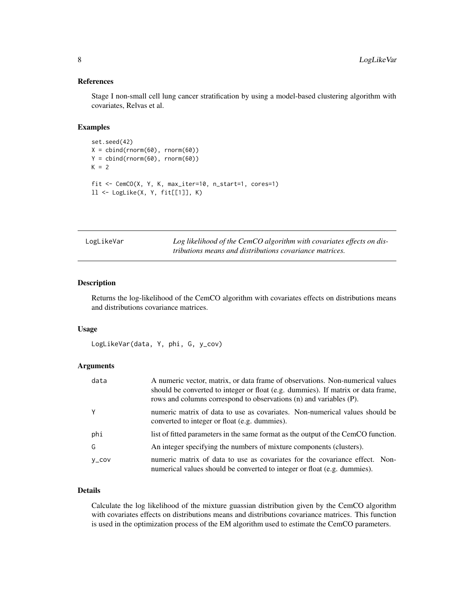# References

Stage I non-small cell lung cancer stratification by using a model-based clustering algorithm with covariates, Relvas et al.

# Examples

```
set.seed(42)
X = \text{cbind}(rnorm(60), rnorm(60))Y = \text{cbind}(rnorm(60), rnorm(60))K = 2fit <- CemCO(X, Y, K, max_iter=10, n_start=1, cores=1)
ll <- LogLike(X, Y, fit[[1]], K)
```

| LogLikeVar | Log likelihood of the CemCO algorithm with covariates effects on dis- |
|------------|-----------------------------------------------------------------------|
|            | tributions means and distributions covariance matrices.               |

#### Description

Returns the log-likelihood of the CemCO algorithm with covariates effects on distributions means and distributions covariance matrices.

#### Usage

LogLikeVar(data, Y, phi, G, y\_cov)

# Arguments

| data        | A numeric vector, matrix, or data frame of observations. Non-numerical values<br>should be converted to integer or float (e.g. dummies). If matrix or data frame,<br>rows and columns correspond to observations (n) and variables (P). |
|-------------|-----------------------------------------------------------------------------------------------------------------------------------------------------------------------------------------------------------------------------------------|
| Y           | numeric matrix of data to use as covariates. Non-numerical values should be<br>converted to integer or float (e.g. dummies).                                                                                                            |
| phi         | list of fitted parameters in the same format as the output of the CemCO function.                                                                                                                                                       |
| G           | An integer specifying the numbers of mixture components (clusters).                                                                                                                                                                     |
| $V_{-}$ COV | numeric matrix of data to use as covariates for the covariance effect. Non-<br>numerical values should be converted to integer or float (e.g. dummies).                                                                                 |

# Details

Calculate the log likelihood of the mixture guassian distribution given by the CemCO algorithm with covariates effects on distributions means and distributions covariance matrices. This function is used in the optimization process of the EM algorithm used to estimate the CemCO parameters.

<span id="page-7-0"></span>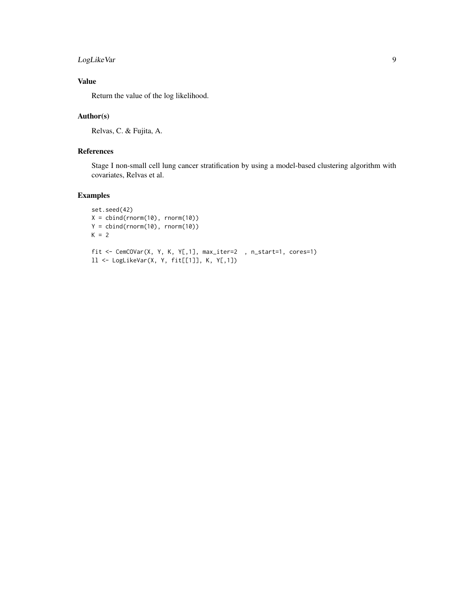# LogLikeVar 9

# Value

Return the value of the log likelihood.

# Author(s)

Relvas, C. & Fujita, A.

# References

Stage I non-small cell lung cancer stratification by using a model-based clustering algorithm with covariates, Relvas et al.

# Examples

```
set.seed(42)
X = \text{cbind}(rnorm(10), rnorm(10))Y = \text{cbind}(rnorm(10), rnorm(10))K = 2fit <- CemCOVar(X, Y, K, Y[,1], max_iter=2 , n_start=1, cores=1)
ll <- LogLikeVar(X, Y, fit[[1]], K, Y[,1])
```